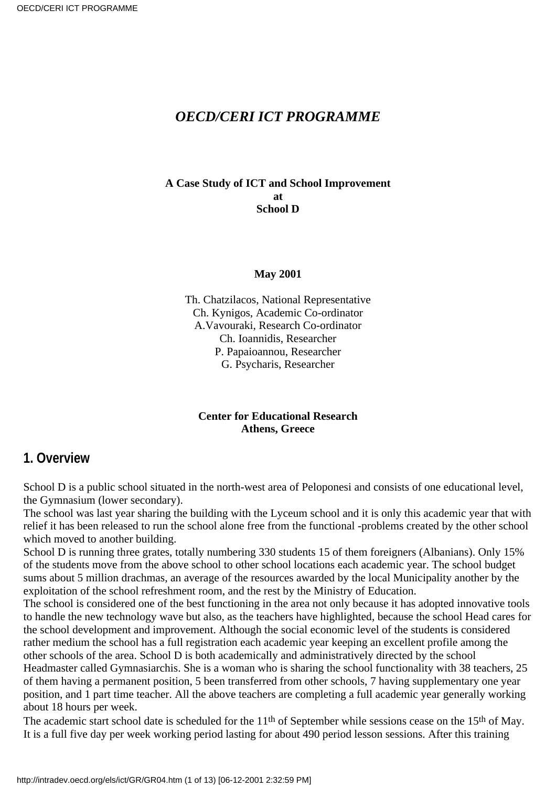### *OECD/CERI ICT PROGRAMME*

#### **A Case Study of ICT and School Improvement at School D**

#### **May 2001**

Th. Chatzilacos, National Representative Ch. Kynigos, Academic Co-ordinator A.Vavouraki, Research Co-ordinator Ch. Ioannidis, Researcher P. Papaioannou, Researcher G. Psycharis, Researcher

#### **Center for Educational Research Athens, Greece**

### **1. Overview**

School D is a public school situated in the north-west area of Peloponesi and consists of one educational level, the Gymnasium (lower secondary).

The school was last year sharing the building with the Lyceum school and it is only this academic year that with relief it has been released to run the school alone free from the functional -problems created by the other school which moved to another building.

School D is running three grates, totally numbering 330 students 15 of them foreigners (Albanians). Only 15% of the students move from the above school to other school locations each academic year. The school budget sums about 5 million drachmas, an average of the resources awarded by the local Municipality another by the exploitation of the school refreshment room, and the rest by the Ministry of Education.

The school is considered one of the best functioning in the area not only because it has adopted innovative tools to handle the new technology wave but also, as the teachers have highlighted, because the school Head cares for the school development and improvement. Although the social economic level of the students is considered rather medium the school has a full registration each academic year keeping an excellent profile among the other schools of the area. School D is both academically and administratively directed by the school

Headmaster called Gymnasiarchis. She is a woman who is sharing the school functionality with 38 teachers, 25 of them having a permanent position, 5 been transferred from other schools, 7 having supplementary one year position, and 1 part time teacher. All the above teachers are completing a full academic year generally working about 18 hours per week.

The academic start school date is scheduled for the 11<sup>th</sup> of September while sessions cease on the 15<sup>th</sup> of May. It is a full five day per week working period lasting for about 490 period lesson sessions. After this training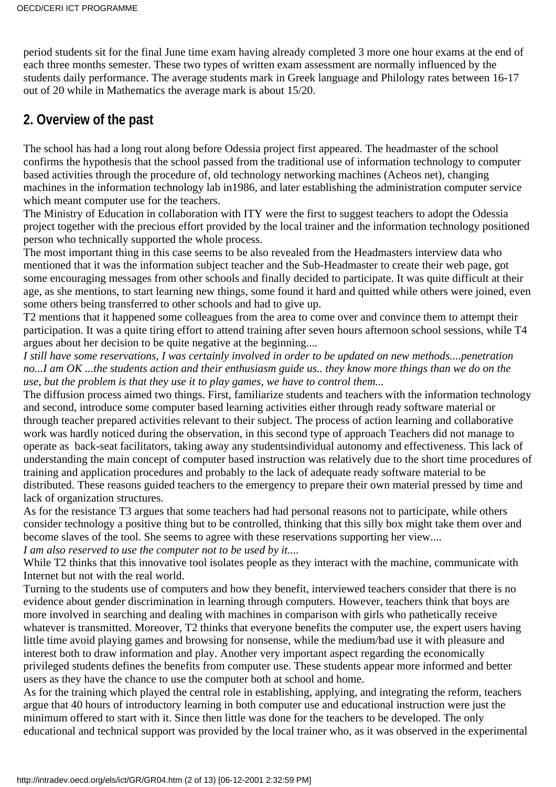period students sit for the final June time exam having already completed 3 more one hour exams at the end of each three months semester. These two types of written exam assessment are normally influenced by the students daily performance. The average students mark in Greek language and Philology rates between 16-17 out of 20 while in Mathematics the average mark is about 15/20.

## **2. Overview of the past**

The school has had a long rout along before Odessia project first appeared. The headmaster of the school confirms the hypothesis that the school passed from the traditional use of information technology to computer based activities through the procedure of, old technology networking machines (Acheos net), changing machines in the information technology lab in1986, and later establishing the administration computer service which meant computer use for the teachers.

The Ministry of Education in collaboration with ITY were the first to suggest teachers to adopt the Odessia project together with the precious effort provided by the local trainer and the information technology positioned person who technically supported the whole process.

The most important thing in this case seems to be also revealed from the Headmasters interview data who mentioned that it was the information subject teacher and the Sub-Headmaster to create their web page, got some encouraging messages from other schools and finally decided to participate. It was quite difficult at their age, as she mentions, to start learning new things, some found it hard and quitted while others were joined, even some others being transferred to other schools and had to give up.

T2 mentions that it happened some colleagues from the area to come over and convince them to attempt their participation. It was a quite tiring effort to attend training after seven hours afternoon school sessions, while T4 argues about her decision to be quite negative at the beginning....

*I still have some reservations, I was certainly involved in order to be updated on new methods....penetration no...I am OK ...the students action and their enthusiasm guide us.. they know more things than we do on the use, but the problem is that they use it to play games, we have to control them...*

The diffusion process aimed two things. First, familiarize students and teachers with the information technology and second, introduce some computer based learning activities either through ready software material or through teacher prepared activities relevant to their subject. The process of action learning and collaborative work was hardly noticed during the observation, in this second type of approach Teachers did not manage to operate as back-seat facilitators, taking away any studentsindividual autonomy and effectiveness. This lack of understanding the main concept of computer based instruction was relatively due to the short time procedures of training and application procedures and probably to the lack of adequate ready software material to be distributed. These reasons guided teachers to the emergency to prepare their own material pressed by time and lack of organization structures.

As for the resistance T3 argues that some teachers had had personal reasons not to participate, while others consider technology a positive thing but to be controlled, thinking that this silly box might take them over and become slaves of the tool. She seems to agree with these reservations supporting her view....

*I am also reserved to use the computer not to be used by it....*

While T2 thinks that this innovative tool isolates people as they interact with the machine, communicate with Internet but not with the real world.

Turning to the students use of computers and how they benefit, interviewed teachers consider that there is no evidence about gender discrimination in learning through computers. However, teachers think that boys are more involved in searching and dealing with machines in comparison with girls who pathetically receive whatever is transmitted. Moreover, T2 thinks that everyone benefits the computer use, the expert users having little time avoid playing games and browsing for nonsense, while the medium/bad use it with pleasure and interest both to draw information and play. Another very important aspect regarding the economically privileged students defines the benefits from computer use. These students appear more informed and better users as they have the chance to use the computer both at school and home.

As for the training which played the central role in establishing, applying, and integrating the reform, teachers argue that 40 hours of introductory learning in both computer use and educational instruction were just the minimum offered to start with it. Since then little was done for the teachers to be developed. The only educational and technical support was provided by the local trainer who, as it was observed in the experimental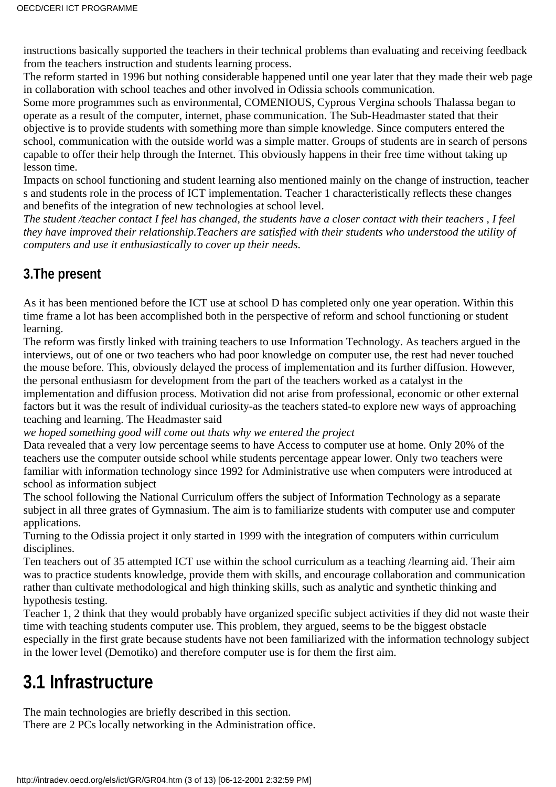instructions basically supported the teachers in their technical problems than evaluating and receiving feedback from the teachers instruction and students learning process.

The reform started in 1996 but nothing considerable happened until one year later that they made their web page in collaboration with school teaches and other involved in Odissia schools communication.

Some more programmes such as environmental, COMENIOUS, Cyprous Vergina schools Thalassa began to operate as a result of the computer, internet, phase communication. The Sub-Headmaster stated that their objective is to provide students with something more than simple knowledge. Since computers entered the school, communication with the outside world was a simple matter. Groups of students are in search of persons capable to offer their help through the Internet. This obviously happens in their free time without taking up lesson time.

Impacts on school functioning and student learning also mentioned mainly on the change of instruction, teacher s and students role in the process of ICT implementation. Teacher 1 characteristically reflects these changes and benefits of the integration of new technologies at school level.

*The student /teacher contact I feel has changed, the students have a closer contact with their teachers , I feel they have improved their relationship.Teachers are satisfied with their students who understood the utility of computers and use it enthusiastically to cover up their needs*.

## **3.The present**

As it has been mentioned before the ICT use at school D has completed only one year operation. Within this time frame a lot has been accomplished both in the perspective of reform and school functioning or student learning.

The reform was firstly linked with training teachers to use Information Technology. As teachers argued in the interviews, out of one or two teachers who had poor knowledge on computer use, the rest had never touched the mouse before. This, obviously delayed the process of implementation and its further diffusion. However, the personal enthusiasm for development from the part of the teachers worked as a catalyst in the

implementation and diffusion process. Motivation did not arise from professional, economic or other external factors but it was the result of individual curiosity-as the teachers stated-to explore new ways of approaching teaching and learning. The Headmaster said

*we hoped something good will come out thats why we entered the project*

Data revealed that a very low percentage seems to have Access to computer use at home. Only 20% of the teachers use the computer outside school while students percentage appear lower. Only two teachers were familiar with information technology since 1992 for Administrative use when computers were introduced at school as information subject

The school following the National Curriculum offers the subject of Information Technology as a separate subject in all three grates of Gymnasium. The aim is to familiarize students with computer use and computer applications.

Turning to the Odissia project it only started in 1999 with the integration of computers within curriculum disciplines.

Ten teachers out of 35 attempted ICT use within the school curriculum as a teaching /learning aid. Their aim was to practice students knowledge, provide them with skills, and encourage collaboration and communication rather than cultivate methodological and high thinking skills, such as analytic and synthetic thinking and hypothesis testing.

Teacher 1, 2 think that they would probably have organized specific subject activities if they did not waste their time with teaching students computer use. This problem, they argued, seems to be the biggest obstacle especially in the first grate because students have not been familiarized with the information technology subject in the lower level (Demotiko) and therefore computer use is for them the first aim.

# **3.1 Infrastructure**

The main technologies are briefly described in this section.

There are 2 PCs locally networking in the Administration office.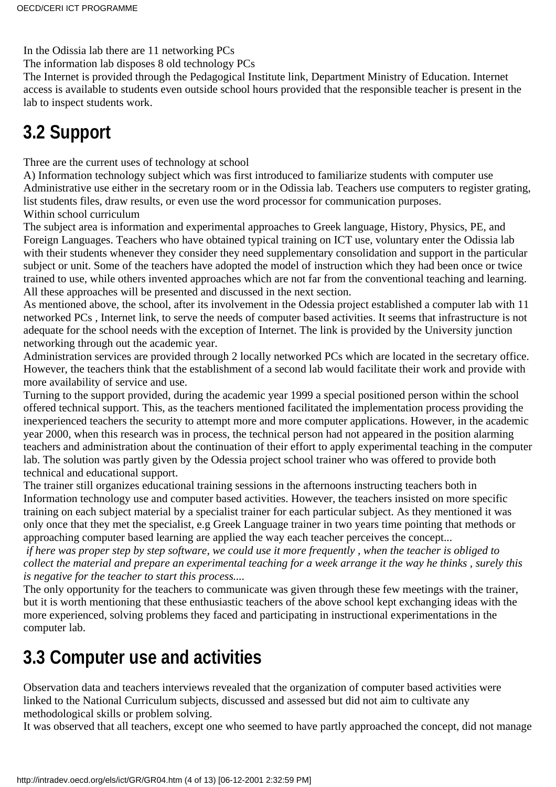In the Odissia lab there are 11 networking PCs

The information lab disposes 8 old technology PCs

The Internet is provided through the Pedagogical Institute link, Department Ministry of Education. Internet access is available to students even outside school hours provided that the responsible teacher is present in the lab to inspect students work.

# **3.2 Support**

Three are the current uses of technology at school

A) Information technology subject which was first introduced to familiarize students with computer use Administrative use either in the secretary room or in the Odissia lab. Teachers use computers to register grating, list students files, draw results, or even use the word processor for communication purposes. Within school curriculum

The subject area is information and experimental approaches to Greek language, History, Physics, PE, and Foreign Languages. Teachers who have obtained typical training on ICT use, voluntary enter the Odissia lab with their students whenever they consider they need supplementary consolidation and support in the particular subject or unit. Some of the teachers have adopted the model of instruction which they had been once or twice trained to use, while others invented approaches which are not far from the conventional teaching and learning. All these approaches will be presented and discussed in the next section.

As mentioned above, the school, after its involvement in the Odessia project established a computer lab with 11 networked PCs , Internet link, to serve the needs of computer based activities. It seems that infrastructure is not adequate for the school needs with the exception of Internet. The link is provided by the University junction networking through out the academic year.

Administration services are provided through 2 locally networked PCs which are located in the secretary office. However, the teachers think that the establishment of a second lab would facilitate their work and provide with more availability of service and use.

Turning to the support provided, during the academic year 1999 a special positioned person within the school offered technical support. This, as the teachers mentioned facilitated the implementation process providing the inexperienced teachers the security to attempt more and more computer applications. However, in the academic year 2000, when this research was in process, the technical person had not appeared in the position alarming teachers and administration about the continuation of their effort to apply experimental teaching in the computer lab. The solution was partly given by the Odessia project school trainer who was offered to provide both technical and educational support.

The trainer still organizes educational training sessions in the afternoons instructing teachers both in Information technology use and computer based activities. However, the teachers insisted on more specific training on each subject material by a specialist trainer for each particular subject. As they mentioned it was only once that they met the specialist, e.g Greek Language trainer in two years time pointing that methods or approaching computer based learning are applied the way each teacher perceives the concept...

 *if here was proper step by step software, we could use it more frequently , when the teacher is obliged to collect the material and prepare an experimental teaching for a week arrange it the way he thinks , surely this is negative for the teacher to start this process....*

The only opportunity for the teachers to communicate was given through these few meetings with the trainer, but it is worth mentioning that these enthusiastic teachers of the above school kept exchanging ideas with the more experienced, solving problems they faced and participating in instructional experimentations in the computer lab.

# **3.3 Computer use and activities**

Observation data and teachers interviews revealed that the organization of computer based activities were linked to the National Curriculum subjects, discussed and assessed but did not aim to cultivate any methodological skills or problem solving.

It was observed that all teachers, except one who seemed to have partly approached the concept, did not manage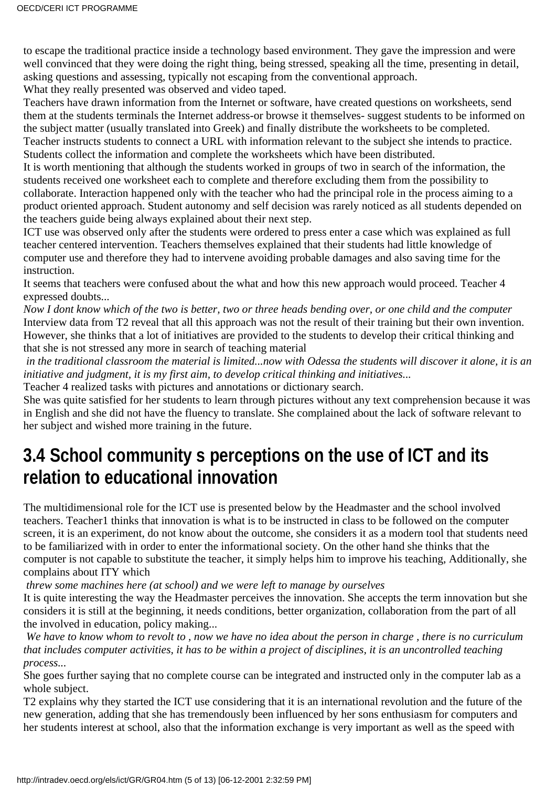to escape the traditional practice inside a technology based environment. They gave the impression and were well convinced that they were doing the right thing, being stressed, speaking all the time, presenting in detail, asking questions and assessing, typically not escaping from the conventional approach. What they really presented was observed and video taped.

Teachers have drawn information from the Internet or software, have created questions on worksheets, send them at the students terminals the Internet address-or browse it themselves- suggest students to be informed on the subject matter (usually translated into Greek) and finally distribute the worksheets to be completed. Teacher instructs students to connect a URL with information relevant to the subject she intends to practice. Students collect the information and complete the worksheets which have been distributed.

It is worth mentioning that although the students worked in groups of two in search of the information, the students received one worksheet each to complete and therefore excluding them from the possibility to collaborate. Interaction happened only with the teacher who had the principal role in the process aiming to a product oriented approach. Student autonomy and self decision was rarely noticed as all students depended on the teachers guide being always explained about their next step.

ICT use was observed only after the students were ordered to press enter a case which was explained as full teacher centered intervention. Teachers themselves explained that their students had little knowledge of computer use and therefore they had to intervene avoiding probable damages and also saving time for the instruction.

It seems that teachers were confused about the what and how this new approach would proceed. Teacher 4 expressed doubts...

*Now I dont know which of the two is better, two or three heads bending over, or one child and the computer* Interview data from T2 reveal that all this approach was not the result of their training but their own invention. However, she thinks that a lot of initiatives are provided to the students to develop their critical thinking and that she is not stressed any more in search of teaching material

*in the traditional classroom the material is limited...now with Odessa the students will discover it alone, it is an initiative and judgment, it is my first aim, to develop critical thinking and initiatives...*

Teacher 4 realized tasks with pictures and annotations or dictionary search.

She was quite satisfied for her students to learn through pictures without any text comprehension because it was in English and she did not have the fluency to translate. She complained about the lack of software relevant to her subject and wished more training in the future.

# **3.4 School communitys perceptions on the use of ICT and its relation to educational innovation**

The multidimensional role for the ICT use is presented below by the Headmaster and the school involved teachers. Teacher1 thinks that innovation is what is to be instructed in class to be followed on the computer screen, it is an experiment, do not know about the outcome, she considers it as a modern tool that students need to be familiarized with in order to enter the informational society. On the other hand she thinks that the computer is not capable to substitute the teacher, it simply helps him to improve his teaching, Additionally, she complains about ITY which

*threw some machines here (at school) and we were left to manage by ourselves*

It is quite interesting the way the Headmaster perceives the innovation. She accepts the term innovation but she considers it is still at the beginning, it needs conditions, better organization, collaboration from the part of all the involved in education, policy making...

 *We have to know whom to revolt to , now we have no idea about the person in charge , there is no curriculum that includes computer activities, it has to be within a project of disciplines, it is an uncontrolled teaching process...*

She goes further saying that no complete course can be integrated and instructed only in the computer lab as a whole subject.

T2 explains why they started the ICT use considering that it is an international revolution and the future of the new generation, adding that she has tremendously been influenced by her sons enthusiasm for computers and her students interest at school, also that the information exchange is very important as well as the speed with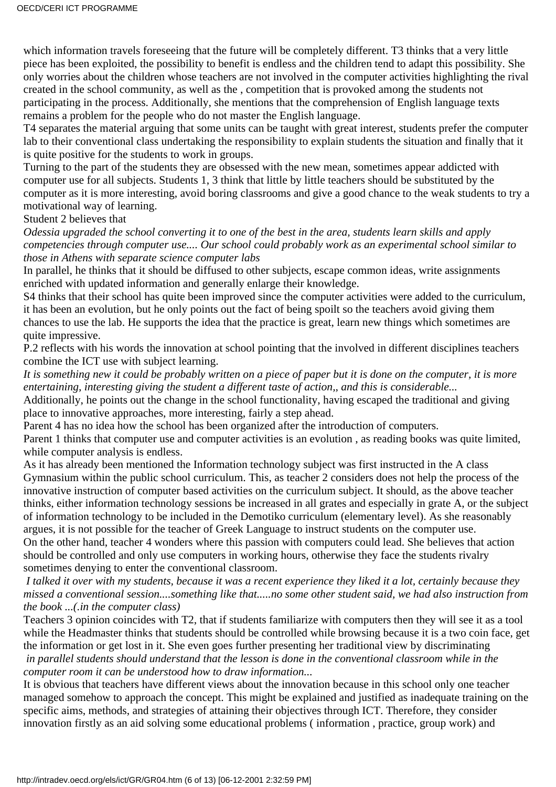which information travels foreseeing that the future will be completely different. T3 thinks that a very little piece has been exploited, the possibility to benefit is endless and the children tend to adapt this possibility. She only worries about the children whose teachers are not involved in the computer activities highlighting the rival created in the school community, as well as the , competition that is provoked among the students not participating in the process. Additionally, she mentions that the comprehension of English language texts remains a problem for the people who do not master the English language.

T4 separates the material arguing that some units can be taught with great interest, students prefer the computer lab to their conventional class undertaking the responsibility to explain students the situation and finally that it is quite positive for the students to work in groups.

Turning to the part of the students they are obsessed with the new mean, sometimes appear addicted with computer use for all subjects. Students 1, 3 think that little by little teachers should be substituted by the computer as it is more interesting, avoid boring classrooms and give a good chance to the weak students to try a motivational way of learning.

Student 2 believes that

*Odessia upgraded the school converting it to one of the best in the area, students learn skills and apply competencies through computer use.... Our school could probably work as an experimental school similar to those in Athens with separate science computer labs* 

In parallel, he thinks that it should be diffused to other subjects, escape common ideas, write assignments enriched with updated information and generally enlarge their knowledge.

S4 thinks that their school has quite been improved since the computer activities were added to the curriculum, it has been an evolution, but he only points out the fact of being spoilt so the teachers avoid giving them chances to use the lab. He supports the idea that the practice is great, learn new things which sometimes are quite impressive.

P.2 reflects with his words the innovation at school pointing that the involved in different disciplines teachers combine the ICT use with subject learning.

*It is something new it could be probably written on a piece of paper but it is done on the computer, it is more entertaining, interesting giving the student a different taste of action,, and this is considerable...*

Additionally, he points out the change in the school functionality, having escaped the traditional and giving place to innovative approaches, more interesting, fairly a step ahead.

Parent 4 has no idea how the school has been organized after the introduction of computers.

Parent 1 thinks that computer use and computer activities is an evolution , as reading books was quite limited, while computer analysis is endless.

As it has already been mentioned the Information technology subject was first instructed in the A class Gymnasium within the public school curriculum. This, as teacher 2 considers does not help the process of the innovative instruction of computer based activities on the curriculum subject. It should, as the above teacher thinks, either information technology sessions be increased in all grates and especially in grate A, or the subject of information technology to be included in the Demotiko curriculum (elementary level). As she reasonably argues, it is not possible for the teacher of Greek Language to instruct students on the computer use. On the other hand, teacher 4 wonders where this passion with computers could lead. She believes that action should be controlled and only use computers in working hours, otherwise they face the students rivalry sometimes denying to enter the conventional classroom.

 *I talked it over with my students, because it was a recent experience they liked it a lot, certainly because they missed a conventional session....something like that.....no some other student said, we had also instruction from the book ...(.in the computer class)*

Teacher s 3 opinion coincides with T2, that if students familiarize with computers then they will see it as a tool while the Headmaster thinks that students should be controlled while browsing because it is a two coin face, get the information or get lost in it. She even goes further presenting her traditional view by discriminating  *in parallel students should understand that the lesson is done in the conventional classroom while in the*

*computer room it can be understood how to draw information...*

It is obvious that teachers have different views about the innovation because in this school only one teacher managed somehow to approach the concept. This might be explained and justified as inadequate training on the specific aims, methods, and strategies of attaining their objectives through ICT. Therefore, they consider innovation firstly as an aid solving some educational problems ( information , practice, group work) and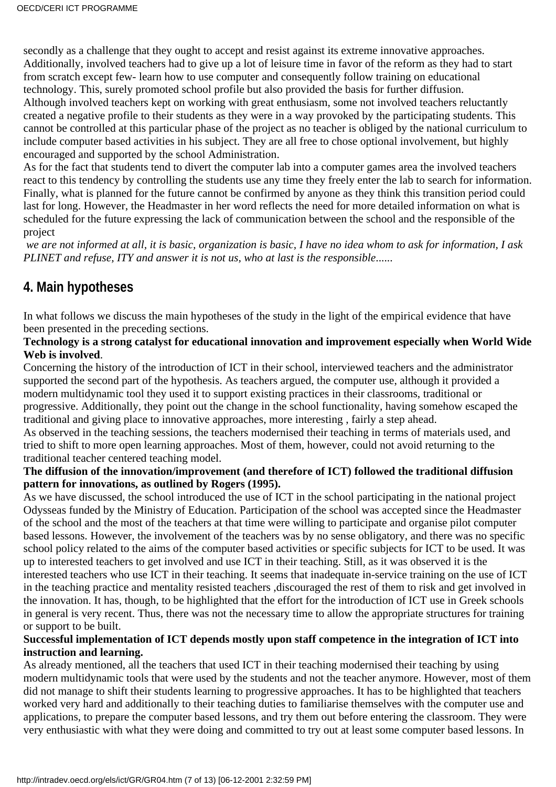secondly as a challenge that they ought to accept and resist against its extreme innovative approaches. Additionally, involved teachers had to give up a lot of leisure time in favor of the reform as they had to start from scratch except few- learn how to use computer and consequently follow training on educational technology. This, surely promoted school profile but also provided the basis for further diffusion. Although involved teachers kept on working with great enthusiasm, some not involved teachers reluctantly created a negative profile to their students as they were in a way provoked by the participating students. This cannot be controlled at this particular phase of the project as no teacher is obliged by the national curriculum to include computer based activities in his subject. They are all free to chose optional involvement, but highly encouraged and supported by the school Administration.

As for the fact that students tend to divert the computer lab into a computer games area the involved teachers react to this tendency by controlling the students use any time they freely enter the lab to search for information. Finally, what is planned for the future cannot be confirmed by anyone as they think this transition period could last for long. However, the Headmaster in her word reflects the need for more detailed information on what is scheduled for the future expressing the lack of communication between the school and the responsible of the project

 *we are not informed at all, it is basic, organization is basic, I have no idea whom to ask for information, I ask PLINET and refuse, ITY and answer it is not us, who at last is the responsible*......

## **4. Main hypotheses**

In what follows we discuss the main hypotheses of the study in the light of the empirical evidence that have been presented in the preceding sections.

#### **Technology is a strong catalyst for educational innovation and improvement especially when World Wide Web is involved**.

Concerning the history of the introduction of ICT in their school, interviewed teachers and the administrator supported the second part of the hypothesis. As teachers argued, the computer use, although it provided a modern multidynamic tool they used it to support existing practices in their classrooms, traditional or progressive. Additionally, they point out the change in the school functionality, having somehow escaped the traditional and giving place to innovative approaches, more interesting , fairly a step ahead.

As observed in the teaching sessions, the teachers modernised their teaching in terms of materials used, and tried to shift to more open learning approaches. Most of them, however, could not avoid returning to the traditional teacher centered teaching model.

#### **The diffusion of the innovation/improvement (and therefore of ICT) followed the traditional diffusion pattern for innovations, as outlined by Rogers (1995).**

As we have discussed, the school introduced the use of ICT in the school participating in the national project Odysseas funded by the Ministry of Education. Participation of the school was accepted since the Headmaster of the school and the most of the teachers at that time were willing to participate and organise pilot computer based lessons. However, the involvement of the teachers was by no sense obligatory, and there was no specific school policy related to the aims of the computer based activities or specific subjects for ICT to be used. It was up to interested teachers to get involved and use ICT in their teaching. Still, as it was observed it is the interested teachers who use ICT in their teaching. It seems that inadequate in-service training on the use of ICT in the teaching practice and mentality resisted teachers ,discouraged the rest of them to risk and get involved in the innovation. It has, though, to be highlighted that the effort for the introduction of ICT use in Greek schools in general is very recent. Thus, there was not the necessary time to allow the appropriate structures for training or support to be built.

#### **Successful implementation of ICT depends mostly upon staff competence in the integration of ICT into instruction and learning.**

As already mentioned, all the teachers that used ICT in their teaching modernised their teaching by using modern multidynamic tools that were used by the students and not the teacher anymore. However, most of them did not manage to shift their students learning to progressive approaches. It has to be highlighted that teachers worked very hard and additionally to their teaching duties to familiarise themselves with the computer use and applications, to prepare the computer based lessons, and try them out before entering the classroom. They were very enthusiastic with what they were doing and committed to try out at least some computer based lessons. In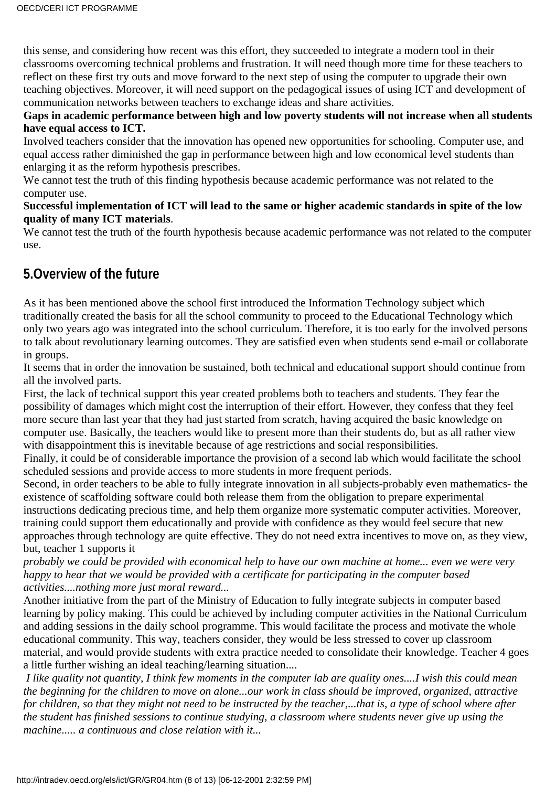this sense, and considering how recent was this effort, they succeeded to integrate a modern tool in their classrooms overcoming technical problems and frustration. It will need though more time for these teachers to reflect on these first try outs and move forward to the next step of using the computer to upgrade their own teaching objectives. Moreover, it will need support on the pedagogical issues of using ICT and development of communication networks between teachers to exchange ideas and share activities.

#### **Gaps in academic performance between high and low poverty students will not increase when all students have equal access to ICT.**

Involved teachers consider that the innovation has opened new opportunities for schooling. Computer use, and equal access rather diminished the gap in performance between high and low economical level students than enlarging it as the reform hypothesis prescribes.

We cannot test the truth of this finding hypothesis because academic performance was not related to the computer use.

#### **Successful implementation of ICT will lead to the same or higher academic standards in spite of the low quality of many ICT materials**.

We cannot test the truth of the fourth hypothesis because academic performance was not related to the computer use.

### **5.Overview of the future**

As it has been mentioned above the school first introduced the Information Technology subject which traditionally created the basis for all the school community to proceed to the Educational Technology which only two years ago was integrated into the school curriculum. Therefore, it is too early for the involved persons to talk about revolutionary learning outcomes. They are satisfied even when students send e-mail or collaborate in groups.

It seems that in order the innovation be sustained, both technical and educational support should continue from all the involved parts.

First, the lack of technical support this year created problems both to teachers and students. They fear the possibility of damages which might cost the interruption of their effort. However, they confess that they feel more secure than last year that they had just started from scratch, having acquired the basic knowledge on computer use. Basically, the teachers would like to present more than their students do, but as all rather view with disappointment this is inevitable because of age restrictions and social responsibilities.

Finally, it could be of considerable importance the provision of a second lab which would facilitate the school scheduled sessions and provide access to more students in more frequent periods.

Second, in order teachers to be able to fully integrate innovation in all subjects-probably even mathematics- the existence of scaffolding software could both release them from the obligation to prepare experimental instructions dedicating precious time, and help them organize more systematic computer activities. Moreover, training could support them educationally and provide with confidence as they would feel secure that new approaches through technology are quite effective. They do not need extra incentives to move on, as they view, but, teacher 1 supports it

*probably we could be provided with economical help to have our own machine at home... even we were very happy to hear that we would be provided with a certificate for participating in the computer based activities....nothing more just moral reward...*

Another initiative from the part of the Ministry of Education to fully integrate subjects in computer based learning by policy making. This could be achieved by including computer activities in the National Curriculum and adding sessions in the daily school programme. This would facilitate the process and motivate the whole educational community. This way, teachers consider, they would be less stressed to cover up classroom material, and would provide students with extra practice needed to consolidate their knowledge. Teacher 4 goes a little further wishing an ideal teaching/learning situation....

 *I like quality not quantity, I think few moments in the computer lab are quality ones....I wish this could mean the beginning for the children to move on alone...our work in class should be improved, organized, attractive for children, so that they might not need to be instructed by the teacher,...that is, a type of school where after the student has finished sessions to continue studying, a classroom where students never give up using the machine..... a continuous and close relation with it...*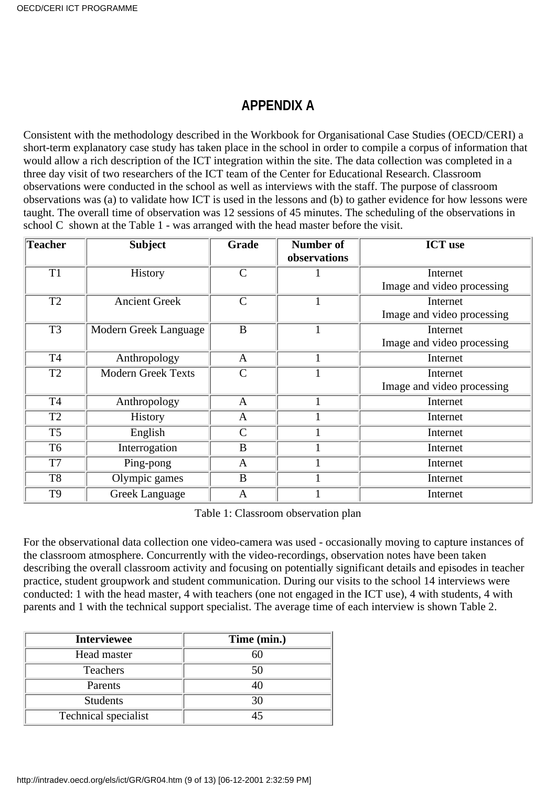### **APPENDIX A**

Consistent with the methodology described in the Workbook for Organisational Case Studies (OECD/CERI) a short-term explanatory case study has taken place in the school in order to compile a corpus of information that would allow a rich description of the ICT integration within the site. The data collection was completed in a three day visit of two researchers of the ICT team of the Center for Educational Research. Classroom observations were conducted in the school as well as interviews with the staff. The purpose of classroom observations was (a) to validate how ICT is used in the lessons and (b) to gather evidence for how lessons were taught. The overall time of observation was 12 sessions of 45 minutes. The scheduling of the observations in school C shown at the Table 1 - was arranged with the head master before the visit.

| Teacher         | <b>Subject</b>            | Grade          | <b>Number of</b><br>observations | <b>ICT</b> use             |
|-----------------|---------------------------|----------------|----------------------------------|----------------------------|
| T <sub>1</sub>  | History                   | $\overline{C}$ |                                  | Internet                   |
|                 |                           |                |                                  | Image and video processing |
| $\overline{T2}$ | <b>Ancient Greek</b>      | $\mathcal{C}$  |                                  | Internet                   |
|                 |                           |                |                                  | Image and video processing |
| $\overline{T3}$ | Modern Greek Language     | $\bf{B}$       | Ι.                               | Internet                   |
|                 |                           |                |                                  | Image and video processing |
| <b>T4</b>       | Anthropology              | $\mathbf{A}$   |                                  | Internet                   |
| T <sub>2</sub>  | <b>Modern Greek Texts</b> | $\mathcal{C}$  |                                  | Internet                   |
|                 |                           |                |                                  | Image and video processing |
| <b>T4</b>       | Anthropology              | $\mathbf{A}$   |                                  | Internet                   |
| T <sub>2</sub>  | History                   | A              |                                  | Internet                   |
| T <sub>5</sub>  | English                   | $\mathcal{C}$  |                                  | Internet                   |
| T <sub>6</sub>  | Interrogation             | B              |                                  | Internet                   |
| T7              | Ping-pong                 | $\mathbf{A}$   |                                  | Internet                   |
| T <sub>8</sub>  | Olympic games             | $\bf{B}$       |                                  | Internet                   |
| T <sub>9</sub>  | <b>Greek Language</b>     | $\mathbf{A}$   |                                  | Internet                   |

Table 1: Classroom observation plan

For the observational data collection one video-camera was used - occasionally moving to capture instances of the classroom atmosphere. Concurrently with the video-recordings, observation notes have been taken describing the overall classroom activity and focusing on potentially significant details and episodes in teacher practice, student groupwork and student communication. During our visits to the school 14 interviews were conducted: 1 with the head master, 4 with teachers (one not engaged in the ICT use), 4 with students, 4 with parents and 1 with the technical support specialist. The average time of each interview is shown Table 2.

| <b>Interviewee</b>   | Time (min.) |
|----------------------|-------------|
| Head master          | 61          |
| <b>Teachers</b>      | 50          |
| Parents              | 40          |
| <b>Students</b>      | 30          |
| Technical specialist | 45          |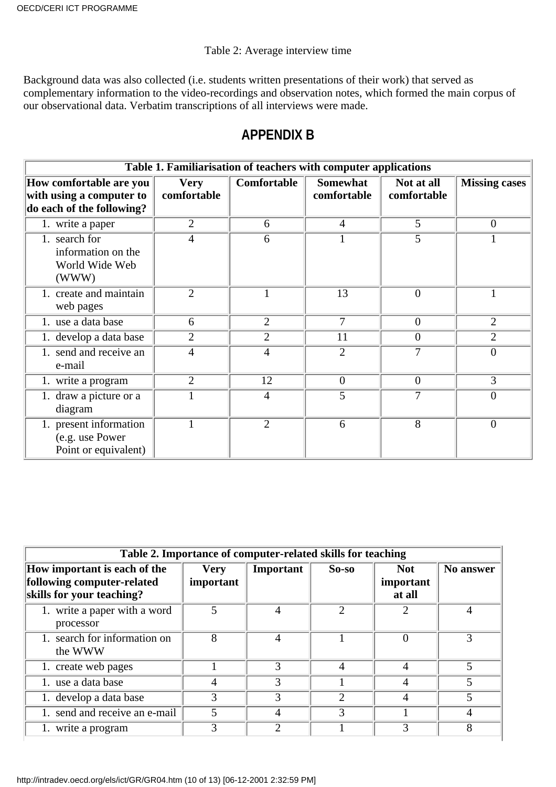#### Table 2: Average interview time

Background data was also collected (i.e. students written presentations of their work) that served as complementary information to the video-recordings and observation notes, which formed the main corpus of our observational data. Verbatim transcriptions of all interviews were made.

### **APPENDIX B**

| Table 1. Familiarisation of teachers with computer applications                  |                            |                |                                |                           |                      |  |  |  |
|----------------------------------------------------------------------------------|----------------------------|----------------|--------------------------------|---------------------------|----------------------|--|--|--|
| How comfortable are you<br>with using a computer to<br>do each of the following? | <b>Very</b><br>comfortable | Comfortable    | <b>Somewhat</b><br>comfortable | Not at all<br>comfortable | <b>Missing cases</b> |  |  |  |
| 1. write a paper                                                                 | $\overline{2}$             | 6              | $\overline{4}$                 | 5                         | $\overline{0}$       |  |  |  |
| 1. search for<br>information on the<br>World Wide Web<br>(WWW)                   | 4                          | 6              | 1                              | 5                         |                      |  |  |  |
| 1. create and maintain<br>web pages                                              | $\overline{2}$             |                | 13                             | $\theta$                  |                      |  |  |  |
| 1. use a data base                                                               | 6                          | 2              | 7                              | $\theta$                  | $\overline{2}$       |  |  |  |
| 1. develop a data base                                                           | $\overline{2}$             | $\overline{2}$ | 11                             | $\overline{0}$            | $\overline{2}$       |  |  |  |
| 1. send and receive an<br>e-mail                                                 | $\overline{4}$             | 4              | $\overline{2}$                 | 7                         | $\theta$             |  |  |  |
| 1. write a program                                                               | $\overline{2}$             | 12             | $\overline{0}$                 | $\overline{0}$            | 3                    |  |  |  |
| 1. draw a picture or a<br>diagram                                                |                            | 4              | 5                              | 7                         | 0                    |  |  |  |
| 1. present information<br>(e.g. use Power<br>Point or equivalent)                |                            | $\overline{2}$ | 6                              | $\overline{8}$            | $\Omega$             |  |  |  |

| Table 2. Importance of computer-related skills for teaching                             |                          |                |                |                                   |           |  |  |  |
|-----------------------------------------------------------------------------------------|--------------------------|----------------|----------------|-----------------------------------|-----------|--|--|--|
| How important is each of the<br>following computer-related<br>skills for your teaching? | <b>Very</b><br>important | Important      | $So-so$        | <b>Not</b><br>important<br>at all | No answer |  |  |  |
| 1. write a paper with a word<br>processor                                               | 5                        | 4              | $\overline{2}$ | 2                                 |           |  |  |  |
| 1. search for information on<br>the WWW                                                 | 8                        | $\overline{4}$ |                |                                   | 3         |  |  |  |
| 1. create web pages                                                                     |                          | 3              | 4              | 4                                 | 5         |  |  |  |
| 1. use a data base                                                                      | 4                        | 3              |                |                                   |           |  |  |  |
| 1. develop a data base                                                                  | 3                        | 3              |                | 4                                 |           |  |  |  |
| 1. send and receive an e-mail                                                           | 5                        | 4              | 3              |                                   |           |  |  |  |
| 1. write a program                                                                      | 3                        | っ              |                | 3                                 | 8         |  |  |  |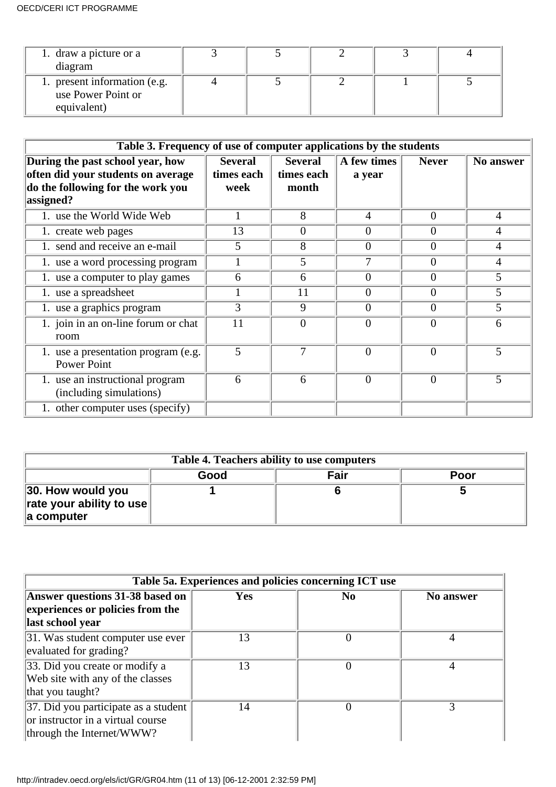| 1. draw a picture or a<br>diagram                                 |  |  |  |
|-------------------------------------------------------------------|--|--|--|
| 1. present information (e.g.<br>use Power Point or<br>equivalent) |  |  |  |

| Table 3. Frequency of use of computer applications by the students                                                       |                                      |                                       |                       |                  |                |  |  |
|--------------------------------------------------------------------------------------------------------------------------|--------------------------------------|---------------------------------------|-----------------------|------------------|----------------|--|--|
| During the past school year, how<br>often did your students on average<br>do the following for the work you<br>assigned? | <b>Several</b><br>times each<br>week | <b>Several</b><br>times each<br>month | A few times<br>a year | <b>Never</b>     | No answer      |  |  |
| 1. use the World Wide Web                                                                                                |                                      | 8                                     | $\overline{4}$        | $\Omega$         | $\overline{4}$ |  |  |
| 1. create web pages                                                                                                      | 13                                   | $\theta$                              | $\theta$              | $\overline{0}$   | 4              |  |  |
| 1. send and receive an e-mail                                                                                            | 5                                    | 8                                     | $\overline{0}$        | $\overline{0}$   | 4              |  |  |
| 1. use a word processing program                                                                                         |                                      | 5                                     | 7                     | $\overline{0}$   | $\overline{4}$ |  |  |
| 1. use a computer to play games                                                                                          | 6                                    | 6                                     | $\overline{0}$        | $\overline{0}$   | 5              |  |  |
| 1. use a spreadsheet                                                                                                     |                                      | 11                                    | $\overline{0}$        | $\overline{0}$   | 5              |  |  |
| 1. use a graphics program                                                                                                | 3                                    | 9                                     | $\overline{0}$        | $\overline{0}$   | 5              |  |  |
| $\overline{1}$ . join in an on-line forum or chat<br>room                                                                | 11                                   | 0                                     | $\overline{0}$        | $\boldsymbol{0}$ | 6              |  |  |
| 1. use a presentation program (e.g.<br><b>Power Point</b>                                                                | 5                                    | 7                                     | $\overline{0}$        | $\overline{0}$   | 5              |  |  |
| 1. use an instructional program<br>(including simulations)                                                               | 6                                    | 6                                     | $\Omega$              | $\overline{0}$   | 5              |  |  |
| 1. other computer uses (specify)                                                                                         |                                      |                                       |                       |                  |                |  |  |

| Table 4. Teachers ability to use computers                            |      |      |      |  |  |  |
|-----------------------------------------------------------------------|------|------|------|--|--|--|
|                                                                       | Good | Fair | Poor |  |  |  |
| 30. How would you<br>$\ $ rate your ability to use $\ $<br>a computer |      |      |      |  |  |  |

| Table 5a. Experiences and policies concerning ICT use                                                  |            |                |           |  |  |  |
|--------------------------------------------------------------------------------------------------------|------------|----------------|-----------|--|--|--|
| Answer questions 31-38 based on                                                                        | <b>Yes</b> | N <sub>0</sub> | No answer |  |  |  |
| experiences or policies from the                                                                       |            |                |           |  |  |  |
| last school year                                                                                       |            |                |           |  |  |  |
| 31. Was student computer use ever<br>evaluated for grading?                                            | 13         | 0              | 4         |  |  |  |
| 33. Did you create or modify a<br>Web site with any of the classes<br>that you taught?                 | 13         | 0              |           |  |  |  |
| 37. Did you participate as a student<br>or instructor in a virtual course<br>through the Internet/WWW? | 14         |                | 3         |  |  |  |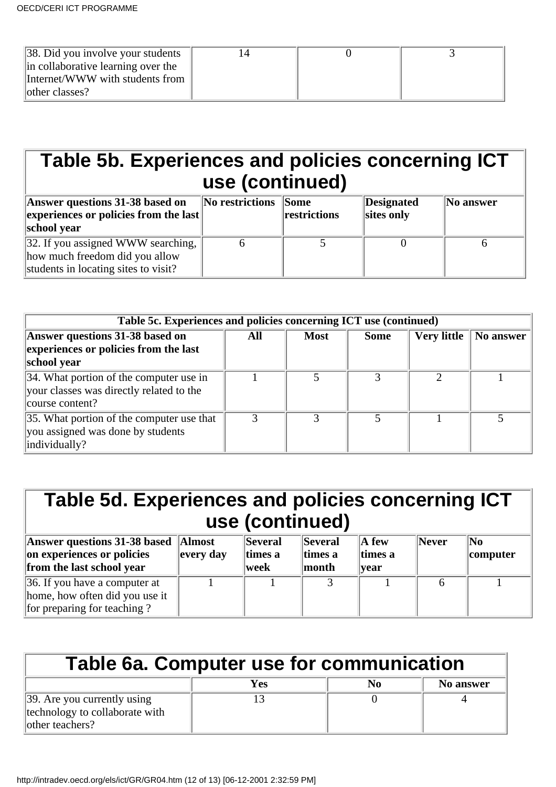| $\vert 38.$ Did you involve your students |  |  |
|-------------------------------------------|--|--|
| in collaborative learning over the        |  |  |
| Internet/WWW with students from           |  |  |
| other classes?                            |  |  |

# **Table 5b. Experiences and policies concerning ICT use (continued)**

| Answer questions 31-38 based on<br>$\left\Vert$ experiences or policies from the last $\left\Vert$<br>school year            | No restrictions Some | restrictions | Designated<br>sites only | $\ $ No answer |
|------------------------------------------------------------------------------------------------------------------------------|----------------------|--------------|--------------------------|----------------|
| $\vert$ 32. If you assigned WWW searching, $\vert$<br>how much freedom did you allow<br>students in locating sites to visit? |                      |              |                          |                |

| Table 5c. Experiences and policies concerning ICT use (continued) |     |             |             |                    |           |  |
|-------------------------------------------------------------------|-----|-------------|-------------|--------------------|-----------|--|
| Answer questions 31-38 based on                                   | All | <b>Most</b> | <b>Some</b> | <b>Very little</b> | No answer |  |
| experiences or policies from the last                             |     |             |             |                    |           |  |
| school year                                                       |     |             |             |                    |           |  |
| 34. What portion of the computer use in                           |     |             |             |                    |           |  |
| your classes was directly related to the                          |     |             |             |                    |           |  |
| course content?                                                   |     |             |             |                    |           |  |
| 35. What portion of the computer use that                         |     |             |             |                    |           |  |
| you assigned was done by students                                 |     |             |             |                    |           |  |
| individually?                                                     |     |             |             |                    |           |  |

| Table 5d. Experiences and policies concerning ICT<br>use (continued)                                    |                                                             |                            |                                           |                                           |       |                            |  |
|---------------------------------------------------------------------------------------------------------|-------------------------------------------------------------|----------------------------|-------------------------------------------|-------------------------------------------|-------|----------------------------|--|
| Answer questions 31-38 based<br>on experiences or policies<br>from the last school year                 | <b>Almost</b><br>$\left\vert \text{every day}\right\rangle$ | Several<br>times a<br>week | <b>Several</b><br>times a<br><b>month</b> | $\mathbf A$ few<br>times a<br><b>vear</b> | Never | $\mathbf{N_0}$<br>computer |  |
| $\vert 36$ . If you have a computer at<br>home, how often did you use it<br>for preparing for teaching? |                                                             |                            |                                           |                                           |       |                            |  |

| Table 6a. Computer use for communication                                                  |     |    |                  |  |  |  |
|-------------------------------------------------------------------------------------------|-----|----|------------------|--|--|--|
|                                                                                           | Yes | N0 | <b>No answer</b> |  |  |  |
| $\vert$ 39. Are you currently using<br>technology to collaborate with<br>lother teachers? |     |    |                  |  |  |  |